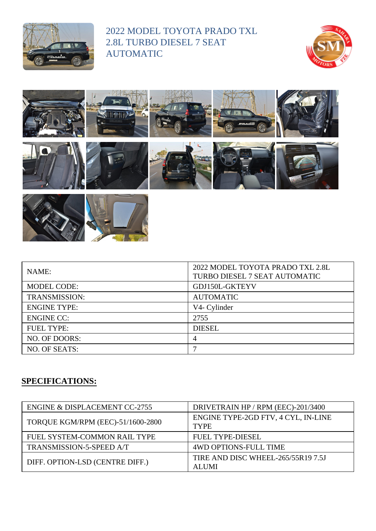

## 2022 MODEL TOYOTA PRADO TXL 2.8L TURBO DIESEL 7 SEAT AUTOMATIC







| NAME:                | 2022 MODEL TOYOTA PRADO TXL 2.8L<br>TURBO DIESEL 7 SEAT AUTOMATIC |
|----------------------|-------------------------------------------------------------------|
| <b>MODEL CODE:</b>   | GDJ150L-GKTEYV                                                    |
| <b>TRANSMISSION:</b> | <b>AUTOMATIC</b>                                                  |
| <b>ENGINE TYPE:</b>  | V4- Cylinder                                                      |
| <b>ENGINE CC:</b>    | 2755                                                              |
| <b>FUEL TYPE:</b>    | <b>DIESEL</b>                                                     |
| NO. OF DOORS:        | 4                                                                 |
| NO. OF SEATS:        | ⇁                                                                 |

## **SPECIFICATIONS:**

| ENGINE & DISPLACEMENT CC-2755     | DRIVETRAIN HP / RPM (EEC)-201/3400                 |
|-----------------------------------|----------------------------------------------------|
| TORQUE KGM/RPM (EEC)-51/1600-2800 | ENGINE TYPE-2GD FTV, 4 CYL, IN-LINE<br><b>TYPE</b> |
| FUEL SYSTEM-COMMON RAIL TYPE      | <b>FUEL TYPE-DIESEL</b>                            |
| TRANSMISSION-5-SPEED A/T          | <b>4WD OPTIONS-FULL TIME</b>                       |
| DIFF. OPTION-LSD (CENTRE DIFF.)   | TIRE AND DISC WHEEL-265/55R19 7.5J<br><b>ALUMI</b> |